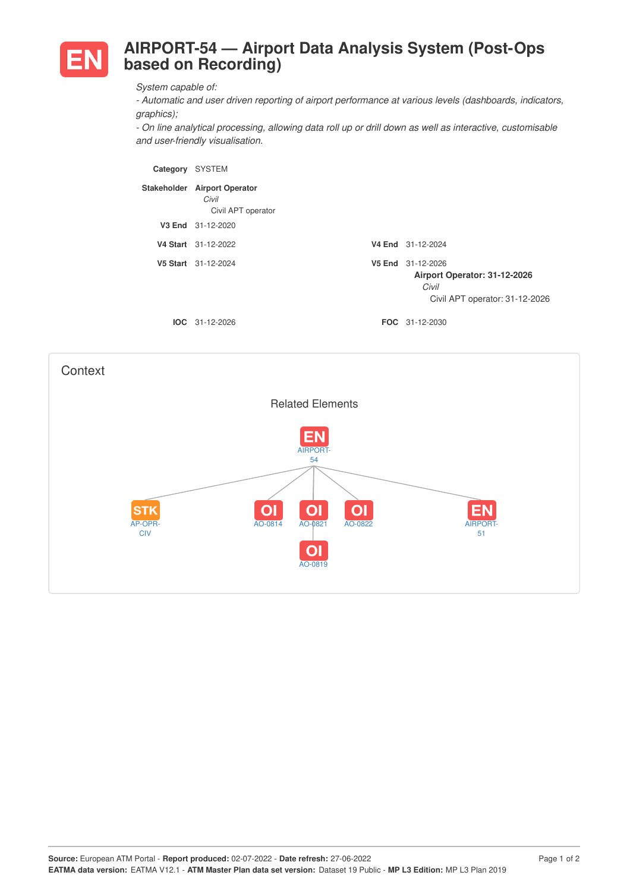

## **AIRPORT-54 — Airport Data Analysis System (Post-Ops based on Recording)**

*System capable of:*

*- Automatic and user driven reporting of airport performance at various levels (dashboards, indicators, graphics);*

*- On line analytical processing, allowing data roll up or drill down as well as interactive, customisable and user-friendly visualisation.*

| Category    | <b>SYSTEM</b>                                          |                                                                                              |
|-------------|--------------------------------------------------------|----------------------------------------------------------------------------------------------|
| Stakeholder | <b>Airport Operator</b><br>Civil<br>Civil APT operator |                                                                                              |
|             | V3 End 31-12-2020                                      |                                                                                              |
|             | V4 Start 31-12-2022                                    | V4 End 31-12-2024                                                                            |
|             | V5 Start 31-12-2024                                    | V5 End 31-12-2026<br>Airport Operator: 31-12-2026<br>Civil<br>Civil APT operator: 31-12-2026 |
|             | $IOC 31-12-2026$                                       | <b>FOC</b> 31-12-2030                                                                        |